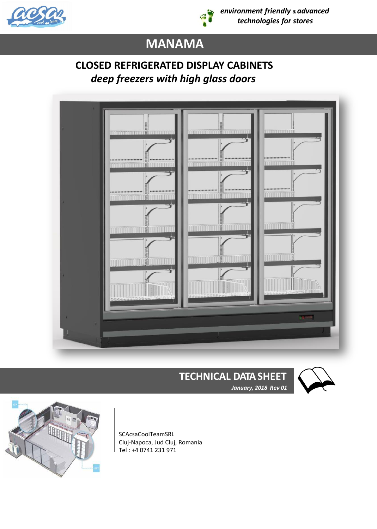



*environment friendly & advanced technologies for stores*

# **MANAMA**

## **CLOSED REFRIGERATED DISPLAY CABINETS**   *deep freezers with high glass doors*



## **TECHNICAL DATA SHEET**



 *January, 2018 Rev 01*



SCAcsaCoolTeamSRL Cluj-Napoca, Jud Cluj, Romania Tel : +4 0741 231 971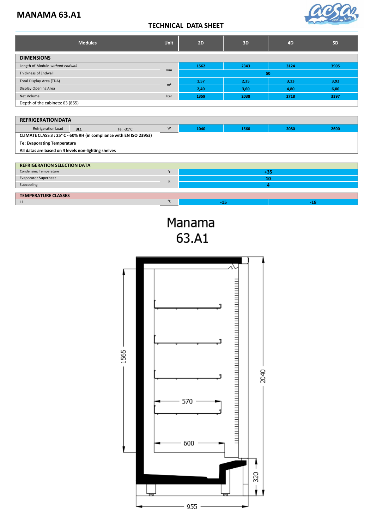### **MANAMA 63.A1**



#### **TECHNICAL DATA SHEET**

| <b>Modules</b>                   |                | 2D   | 3D   | 4 <sub>D</sub> | <b>5D</b> |  |  |
|----------------------------------|----------------|------|------|----------------|-----------|--|--|
| <b>DIMENSIONS</b>                |                |      |      |                |           |  |  |
| Length of Module without endwall |                | 1562 | 2343 | 3124           | 3905      |  |  |
| <b>Thickness of Endwall</b>      |                |      | 50   |                |           |  |  |
| Total Display Area (TDA)         |                | 1,57 | 2,35 | 3,13           | 3,92      |  |  |
| Display Opening Area             | m <sup>2</sup> | 2,40 | 3,60 | 4,80           | 6,00      |  |  |
| Net Volume                       |                | 1359 | 2038 | 2718           | 3397      |  |  |
| Depth of the cabinets: 63 (855)  |                |      |      |                |           |  |  |

#### **REFRIGERATION DATA**

| Refrigeration Load                                                 | 3L1 | Te: $-31^{\circ}$ C | W | 1040 | 1560 | 2080 | 2600 |
|--------------------------------------------------------------------|-----|---------------------|---|------|------|------|------|
| CLIMATE CLASS 3 : 25° C - 60% RH (in compliance with EN ISO 23953) |     |                     |   |      |      |      |      |
| <b>Te: Evaporating Temperature</b>                                 |     |                     |   |      |      |      |      |
| All datas are based on 4 levels non-lighting shelves               |     |                     |   |      |      |      |      |
|                                                                    |     |                     |   |      |      |      |      |
| <b>REFRIGERATION SELECTION DATA</b>                                |     |                     |   |      |      |      |      |

| <b>Condensing Temperature</b> | $\circ$        |  | - 35 |  |  |  |
|-------------------------------|----------------|--|------|--|--|--|
| Evaporator Superheat          |                |  | 10   |  |  |  |
| Subcooling                    | ''             |  |      |  |  |  |
|                               |                |  |      |  |  |  |
| <b>TEMPERATURE CLASSES</b>    |                |  |      |  |  |  |
| L1                            | $\circ$ $\sim$ |  |      |  |  |  |

Manama 63.A1